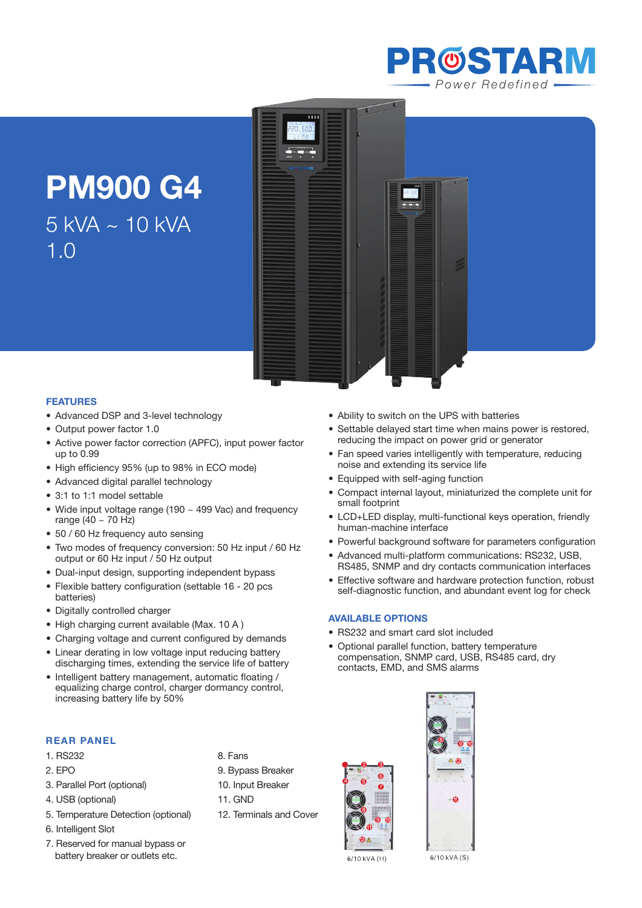

# **PM900 G4**  5 kVA ~ 10 kVA 1.0



• Ability to switch on the UPS with batteries

noise and extending its service life • Equipped with self-aging function

• Settable delayed start time when mains power is restored,

• Compact internal layout, miniaturized the complete unit for

• LCD+LED display, multi-functional keys operation, friendly

• Powerful background software for parameters configuration • Advanced multi-platform communications: RS232, USB, RS485, SNMP and dry contacts communication interfaces

reducing the impact on power grid or generator • Fan speed varies intelligently with temperature, reducing

#### **Features**

- Advanced DSP and 3-level technology
- Output power factor 1.0
- Active power factor correction (APFC), input power factor up to 0.99
- High efficiency 95% (up to 98% in ECO mode)
- Advanced digital parallel technology
- 3:1 to 1:1 model settable
- Wide input voltage range (190  $\sim$  499 Vac) and frequency range  $(40 \sim 70$  Hz)
- 50 / 60 Hz frequency auto sensing
- Two modes of frequency conversion: 50 Hz input / 60 Hz output or 60 Hz input / 50 Hz output
- Dual-input design, supporting independent bypass
- Flexible battery configuration (settable 16 20 pcs) batteries)
- • Digitally controlled charger
- High charging current available (Max. 10 A)
- Charging voltage and current configured by demands
- Linear derating in low voltage input reducing battery discharging times, extending the service life of battery
- Intelligent battery management, automatic floating / equalizing charge control, charger dormancy control, increasing battery life by 50%

## **REAR PANEL**

- 1. RS232
- 2. EPO
- 3. Parallel Port (optional)
- 4. USB (optional)
- 5. Temperature Detection (optional)
- 6. Intelligent Slot
- 7. Reserved for manual bypass or battery breaker or outlets etc.
- 8. Fans
- 9. Bypass Breaker
- 10. Input Breaker
- 11. GND
- 12. Terminals and Cover





6/10 kVA (H)

6/10 kVA (S)

- 
- 

• Effective software and hardware protection function, robust self-diagnostic function, and abundant event log for check

small footprint

human-machine interface

#### **Available Options**

- RS232 and smart card slot included
- • Optional parallel function, battery temperature compensation, SNMP card, USB, RS485 card, dry contacts, EMD, and SMS alarms